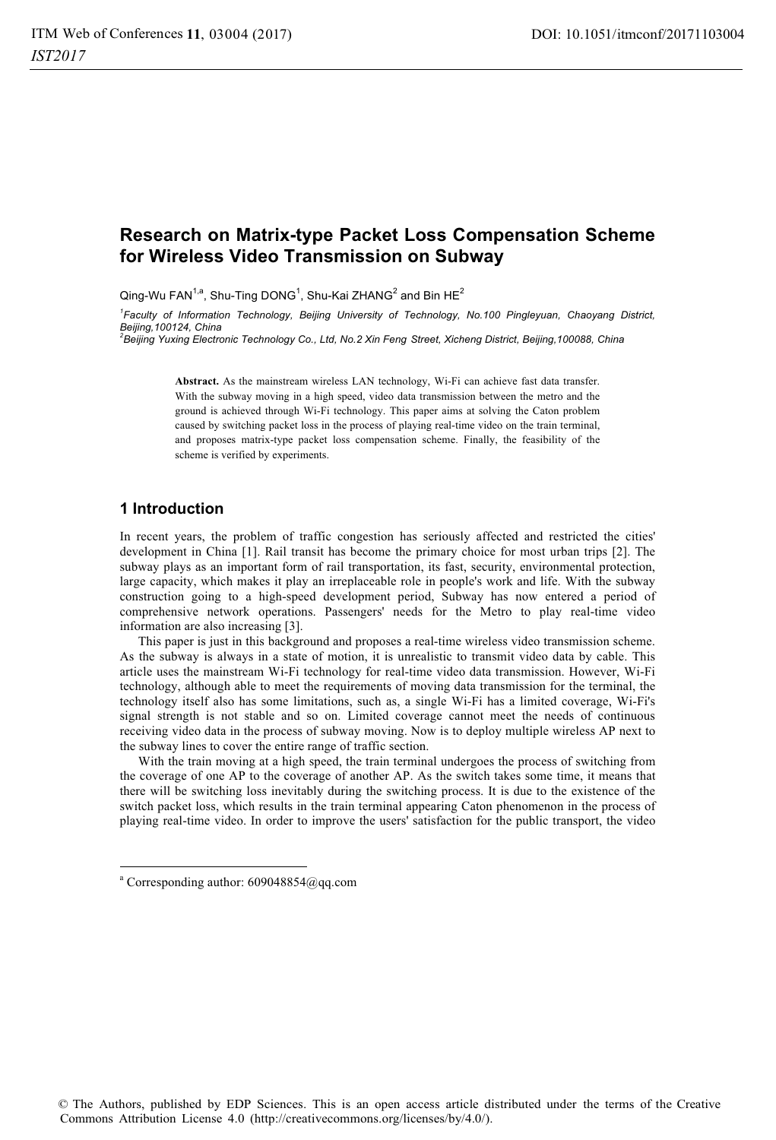# **Research on Matrix-type Packet Loss Compensation Scheme for Wireless Video Transmission on Subway**

Qing-Wu FAN $^{1,a}$ , Shu-Ting DONG $^1$ , Shu-Kai ZHANG $^2$  and Bin HE $^2$ 

*1 Faculty of Information Technology, Beijing University of Technology, No.100 Pingleyuan, Chaoyang District, Beijing,100124, China 2 Beijing Yuxing Electronic Technology Co., Ltd, No.2 Xin Feng Street, Xicheng District, Beijing,100088, China* 

**Abstract.** As the mainstream wireless LAN technology, Wi-Fi can achieve fast data transfer. With the subway moving in a high speed, video data transmission between the metro and the ground is achieved through Wi-Fi technology. This paper aims at solving the Caton problem caused by switching packet loss in the process of playing real-time video on the train terminal, and proposes matrix-type packet loss compensation scheme. Finally, the feasibility of the scheme is verified by experiments.

# **1 Introduction**

In recent years, the problem of traffic congestion has seriously affected and restricted the cities' development in China [1]. Rail transit has become the primary choice for most urban trips [2]. The subway plays as an important form of rail transportation, its fast, security, environmental protection, large capacity, which makes it play an irreplaceable role in people's work and life. With the subway construction going to a high-speed development period, Subway has now entered a period of comprehensive network operations. Passengers' needs for the Metro to play real-time video information are also increasing [3].

This paper is just in this background and proposes a real-time wireless video transmission scheme. As the subway is always in a state of motion, it is unrealistic to transmit video data by cable. This article uses the mainstream Wi-Fi technology for real-time video data transmission. However, Wi-Fi technology, although able to meet the requirements of moving data transmission for the terminal, the technology itself also has some limitations, such as, a single Wi-Fi has a limited coverage, Wi-Fi's signal strength is not stable and so on. Limited coverage cannot meet the needs of continuous receiving video data in the process of subway moving. Now is to deploy multiple wireless AP next to the subway lines to cover the entire range of traffic section.

With the train moving at a high speed, the train terminal undergoes the process of switching from the coverage of one AP to the coverage of another AP. As the switch takes some time, it means that there will be switching loss inevitably during the switching process. It is due to the existence of the switch packet loss, which results in the train terminal appearing Caton phenomenon in the process of playing real-time video. In order to improve the users' satisfaction for the public transport, the video

j

a Corresponding author: 609048854@qq.com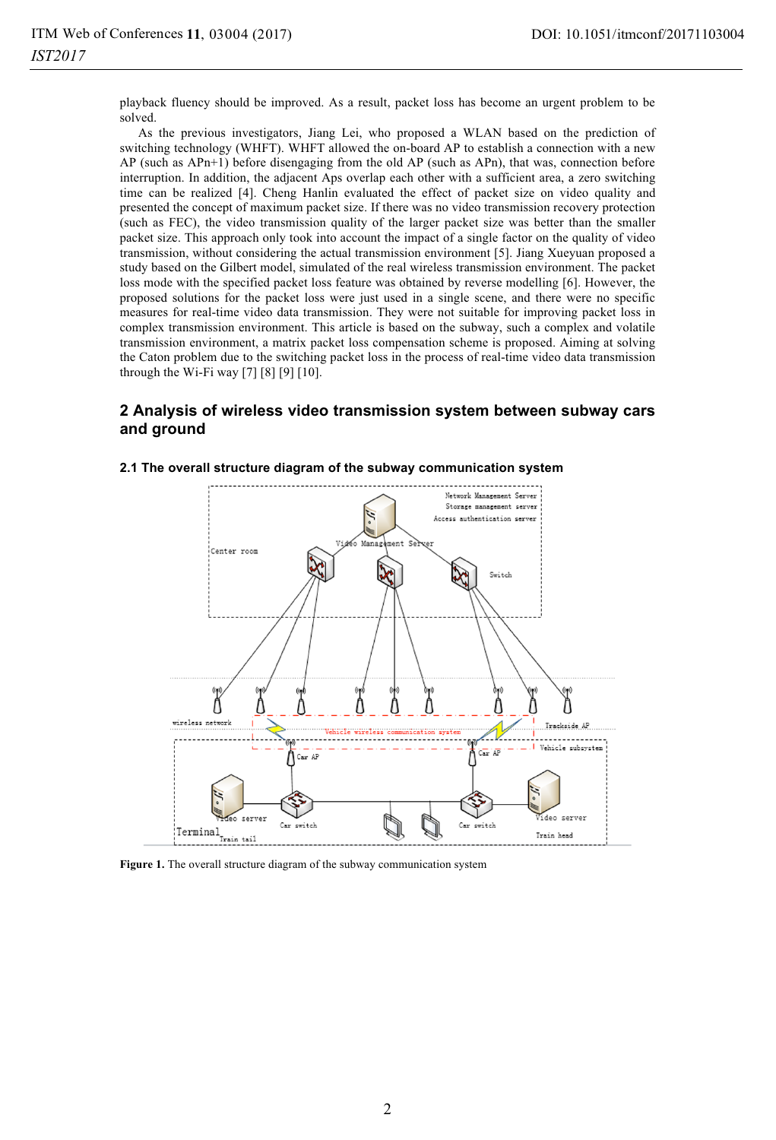playback fluency should be improved. As a result, packet loss has become an urgent problem to be solved.

As the previous investigators, Jiang Lei, who proposed a WLAN based on the prediction of switching technology (WHFT). WHFT allowed the on-board AP to establish a connection with a new AP (such as APn+1) before disengaging from the old AP (such as APn), that was, connection before interruption. In addition, the adjacent Aps overlap each other with a sufficient area, a zero switching time can be realized [4]. Cheng Hanlin evaluated the effect of packet size on video quality and presented the concept of maximum packet size. If there was no video transmission recovery protection (such as FEC), the video transmission quality of the larger packet size was better than the smaller packet size. This approach only took into account the impact of a single factor on the quality of video transmission, without considering the actual transmission environment [5]. Jiang Xueyuan proposed a study based on the Gilbert model, simulated of the real wireless transmission environment. The packet loss mode with the specified packet loss feature was obtained by reverse modelling [6]. However, the proposed solutions for the packet loss were just used in a single scene, and there were no specific measures for real-time video data transmission. They were not suitable for improving packet loss in complex transmission environment. This article is based on the subway, such a complex and volatile transmission environment, a matrix packet loss compensation scheme is proposed. Aiming at solving the Caton problem due to the switching packet loss in the process of real-time video data transmission through the Wi-Fi way  $[7] [8] [9] [10]$ .

# **2 Analysis of wireless video transmission system between subway cars and ground**



### **2.1 The overall structure diagram of the subway communication system**

**Figure 1.** The overall structure diagram of the subway communication system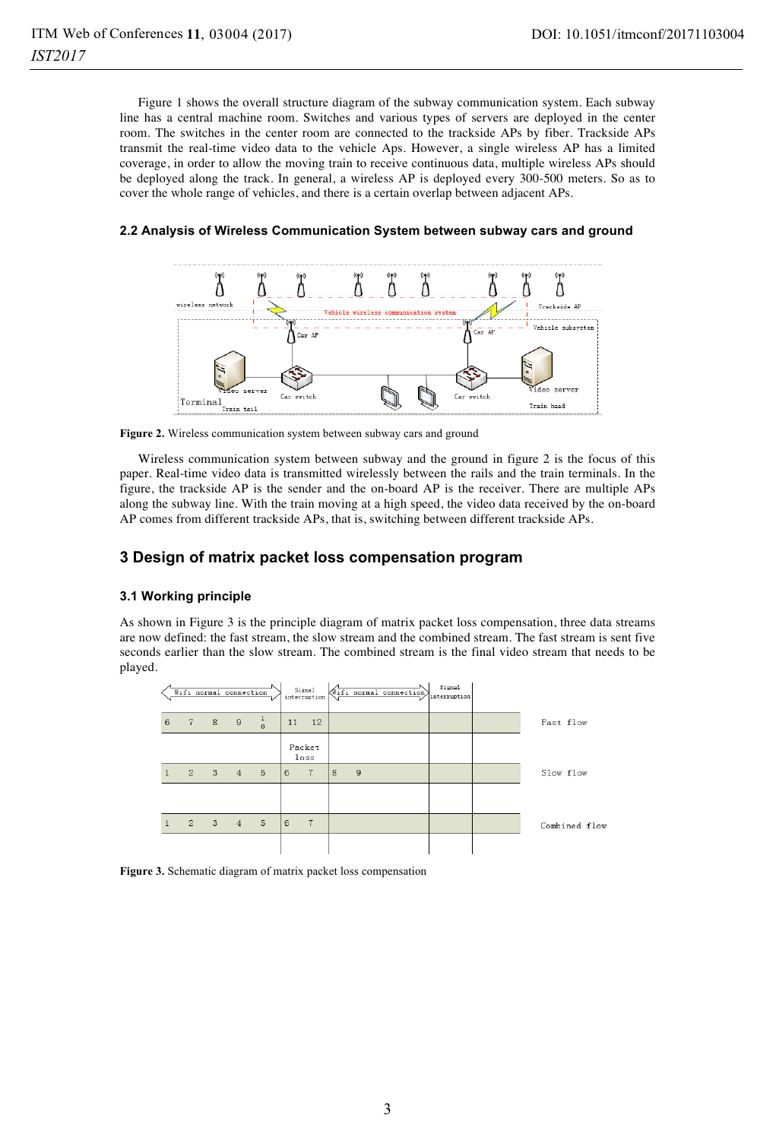Figure 1 shows the overall structure diagram of the subway communication system. Each subway line has a central machine room. Switches and various types of servers are deployed in the center room. The switches in the center room are connected to the trackside APs by fiber. Trackside APs transmit the real-time video data to the vehicle Aps. However, a single wireless AP has a limited coverage, in order to allow the moving train to receive continuous data, multiple wireless APs should be deployed along the track. In general, a wireless AP is deployed every 300-500 meters. So as to cover the whole range of vehicles, and there is a certain overlap between adjacent APs.



#### **2.2 Analysis of Wireless Communication System between subway cars and ground**



Wireless communication system between subway and the ground in figure 2 is the focus of this paper. Real-time video data is transmitted wirelessly between the rails and the train terminals. In the figure, the trackside AP is the sender and the on-board AP is the receiver. There are multiple APs along the subway line. With the train moving at a high speed, the video data received by the on-board AP comes from different trackside APs, that is, switching between different trackside APs.

### **3 Design of matrix packet loss compensation program**

#### **3.1 Working principle**

As shown in Figure 3 is the principle diagram of matrix packet loss compensation, three data streams are now defined: the fast stream, the slow stream and the combined stream. The fast stream is sent five seconds earlier than the slow stream. The combined stream is the final video stream that needs to be played.

|   | Wifi normal connection |                     |         |    | Signal<br>interruption |   |   | (Wifi normal connection) | Signal<br>interruption |               |
|---|------------------------|---------------------|---------|----|------------------------|---|---|--------------------------|------------------------|---------------|
| 6 | 7 8                    | 9                   | $\circ$ | 11 | 12                     |   |   |                          |                        | Fast flow     |
|   |                        |                     |         |    | Packet<br>loss         |   |   |                          |                        |               |
|   | $\overline{2}$         | $3 \quad 4 \quad 5$ |         | 6  | $\overline{7}$         | 8 | 9 |                          |                        | Slow flow     |
|   |                        |                     |         |    |                        |   |   |                          |                        |               |
|   | $\overline{2}$         | $3 \t 4 \t 5$       |         | 6  | $7\phantom{.0}$        |   |   |                          |                        | Combined flow |
|   |                        |                     |         |    |                        |   |   |                          |                        |               |

**Figure 3.** Schematic diagram of matrix packet loss compensation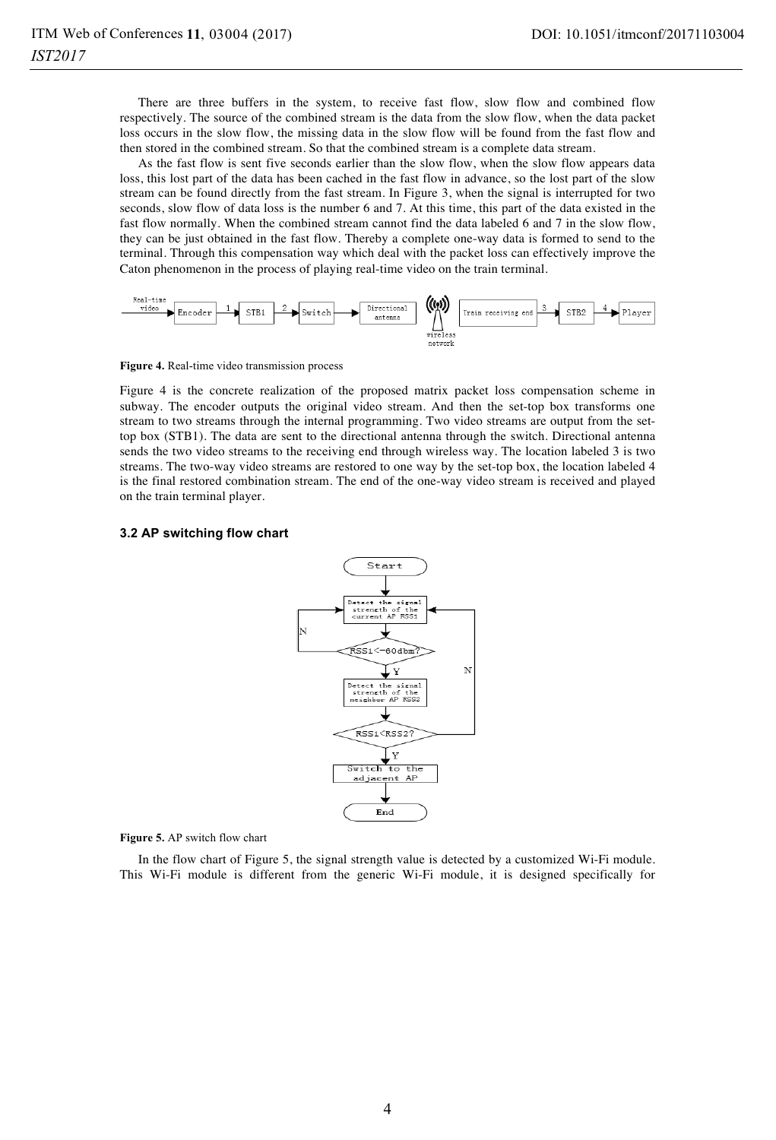There are three buffers in the system, to receive fast flow, slow flow and combined flow respectively. The source of the combined stream is the data from the slow flow, when the data packet loss occurs in the slow flow, the missing data in the slow flow will be found from the fast flow and then stored in the combined stream. So that the combined stream is a complete data stream.

As the fast flow is sent five seconds earlier than the slow flow, when the slow flow appears data loss, this lost part of the data has been cached in the fast flow in advance, so the lost part of the slow stream can be found directly from the fast stream. In Figure 3, when the signal is interrupted for two seconds, slow flow of data loss is the number 6 and 7. At this time, this part of the data existed in the fast flow normally. When the combined stream cannot find the data labeled 6 and 7 in the slow flow, they can be just obtained in the fast flow. Thereby a complete one-way data is formed to send to the terminal. Through this compensation way which deal with the packet loss can effectively improve the Caton phenomenon in the process of playing real-time video on the train terminal.



**Figure 4.** Real-time video transmission process

Figure 4 is the concrete realization of the proposed matrix packet loss compensation scheme in subway. The encoder outputs the original video stream. And then the set-top box transforms one stream to two streams through the internal programming. Two video streams are output from the settop box (STB1). The data are sent to the directional antenna through the switch. Directional antenna sends the two video streams to the receiving end through wireless way. The location labeled 3 is two streams. The two-way video streams are restored to one way by the set-top box, the location labeled 4 is the final restored combination stream. The end of the one-way video stream is received and played on the train terminal player.

#### **3.2 AP switching flow chart**



**Figure 5.** AP switch flow chart

In the flow chart of Figure 5, the signal strength value is detected by a customized Wi-Fi module. This Wi-Fi module is different from the generic Wi-Fi module, it is designed specifically for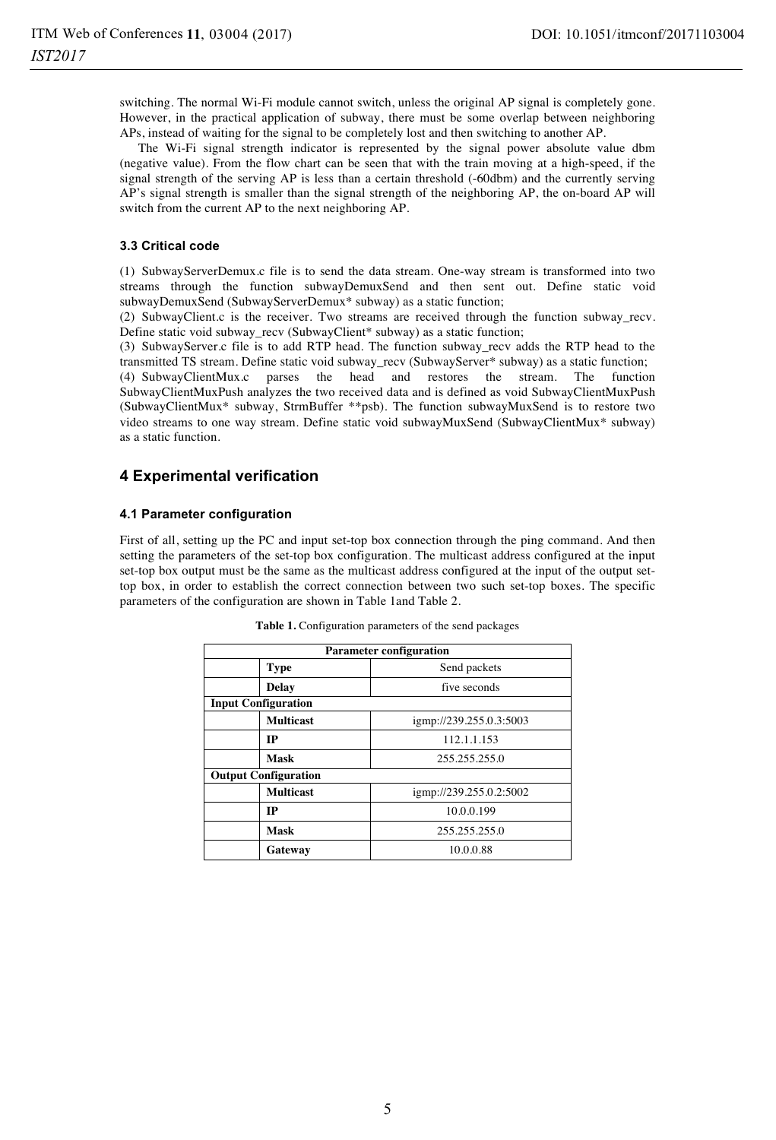switching. The normal Wi-Fi module cannot switch, unless the original AP signal is completely gone. However, in the practical application of subway, there must be some overlap between neighboring APs, instead of waiting for the signal to be completely lost and then switching to another AP.

The Wi-Fi signal strength indicator is represented by the signal power absolute value dbm (negative value). From the flow chart can be seen that with the train moving at a high-speed, if the signal strength of the serving AP is less than a certain threshold (-60dbm) and the currently serving AP's signal strength is smaller than the signal strength of the neighboring AP, the on-board AP will switch from the current AP to the next neighboring AP.

#### **3.3 Critical code**

(1) SubwayServerDemux.c file is to send the data stream. One-way stream is transformed into two streams through the function subwayDemuxSend and then sent out. Define static void subwayDemuxSend (SubwayServerDemux\* subway) as a static function;

(2) SubwayClient.c is the receiver. Two streams are received through the function subway\_recv. Define static void subway\_recv (SubwayClient\* subway) as a static function;

(3) SubwayServer.c file is to add RTP head. The function subway\_recv adds the RTP head to the transmitted TS stream. Define static void subway\_recv (SubwayServer\* subway) as a static function;

(4) SubwayClientMux.c parses the head and restores the stream. The function SubwayClientMuxPush analyzes the two received data and is defined as void SubwayClientMuxPush (SubwayClientMux\* subway, StrmBuffer \*\*psb). The function subwayMuxSend is to restore two video streams to one way stream. Define static void subwayMuxSend (SubwayClientMux\* subway) as a static function.

# **4 Experimental verification**

### **4.1 Parameter configuration**

First of all, setting up the PC and input set-top box connection through the ping command. And then setting the parameters of the set-top box configuration. The multicast address configured at the input set-top box output must be the same as the multicast address configured at the input of the output settop box, in order to establish the correct connection between two such set-top boxes. The specific parameters of the configuration are shown in Table 1and Table 2.

| <b>Parameter configuration</b> |                  |                         |  |  |
|--------------------------------|------------------|-------------------------|--|--|
|                                | <b>Type</b>      | Send packets            |  |  |
|                                | <b>Delay</b>     | five seconds            |  |  |
| <b>Input Configuration</b>     |                  |                         |  |  |
|                                | <b>Multicast</b> | igmp://239.255.0.3:5003 |  |  |
|                                | IP               | 112.1.1.153             |  |  |
|                                | <b>Mask</b>      | 255.255.255.0           |  |  |
| <b>Output Configuration</b>    |                  |                         |  |  |
|                                | <b>Multicast</b> | igmp://239.255.0.2:5002 |  |  |
|                                | IP               | 10.0.0.199              |  |  |
|                                | <b>Mask</b>      | 255.255.255.0           |  |  |
|                                | Gateway          | 10.0.0.88               |  |  |

| Table 1. Configuration parameters of the send packages |  |  |
|--------------------------------------------------------|--|--|
|                                                        |  |  |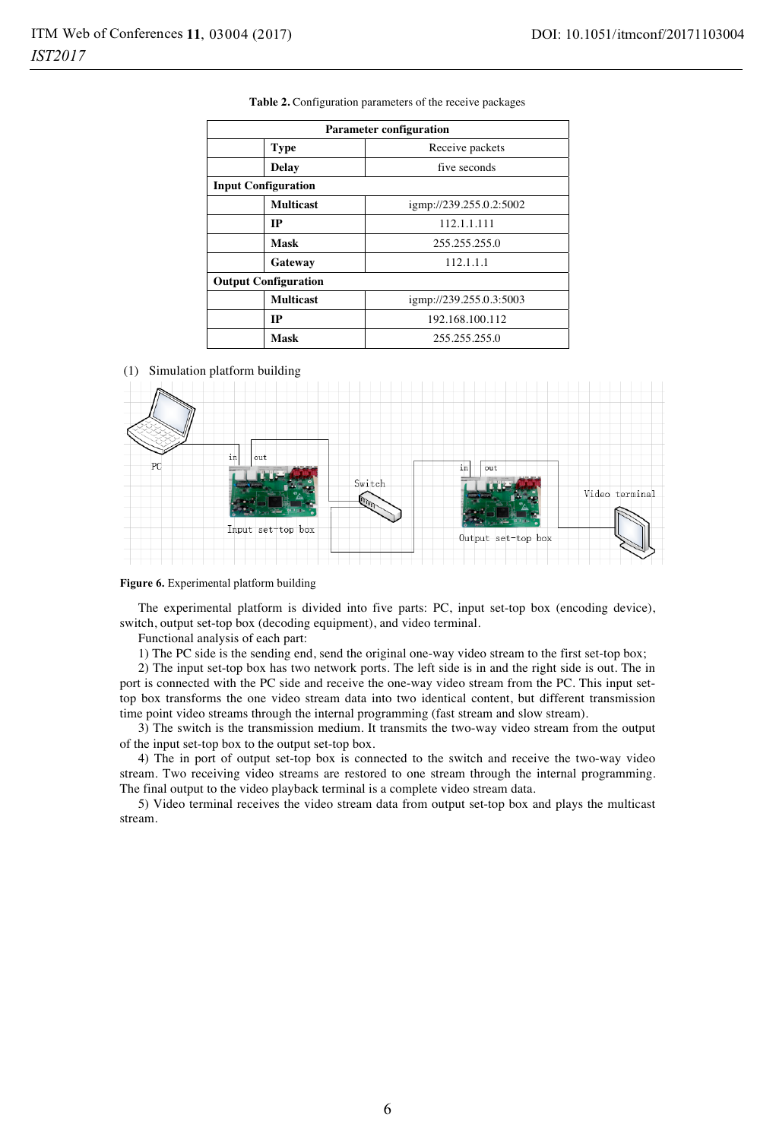| <b>Parameter configuration</b> |                         |  |  |  |  |
|--------------------------------|-------------------------|--|--|--|--|
| <b>Type</b>                    | Receive packets         |  |  |  |  |
| <b>Delay</b>                   | five seconds            |  |  |  |  |
| <b>Input Configuration</b>     |                         |  |  |  |  |
| <b>Multicast</b>               | igmp://239.255.0.2:5002 |  |  |  |  |
| IP                             | 112.1.1.111             |  |  |  |  |
| Mask                           | 255.255.255.0           |  |  |  |  |
| Gateway                        | 112.1.1.1               |  |  |  |  |
| <b>Output Configuration</b>    |                         |  |  |  |  |
| <b>Multicast</b>               | igmp://239.255.0.3:5003 |  |  |  |  |
| IP                             | 192.168.100.112         |  |  |  |  |
| Mask                           | 255.255.255.0           |  |  |  |  |

**Table 2.** Configuration parameters of the receive packages

(1) Simulation platform building



#### **Figure 6.** Experimental platform building

The experimental platform is divided into five parts: PC, input set-top box (encoding device), switch, output set-top box (decoding equipment), and video terminal.

Functional analysis of each part:

1) The PC side is the sending end, send the original one-way video stream to the first set-top box;

2) The input set-top box has two network ports. The left side is in and the right side is out. The in port is connected with the PC side and receive the one-way video stream from the PC. This input settop box transforms the one video stream data into two identical content, but different transmission time point video streams through the internal programming (fast stream and slow stream).

3) The switch is the transmission medium. It transmits the two-way video stream from the output of the input set-top box to the output set-top box.

4) The in port of output set-top box is connected to the switch and receive the two-way video stream. Two receiving video streams are restored to one stream through the internal programming. The final output to the video playback terminal is a complete video stream data.

5) Video terminal receives the video stream data from output set-top box and plays the multicast stream.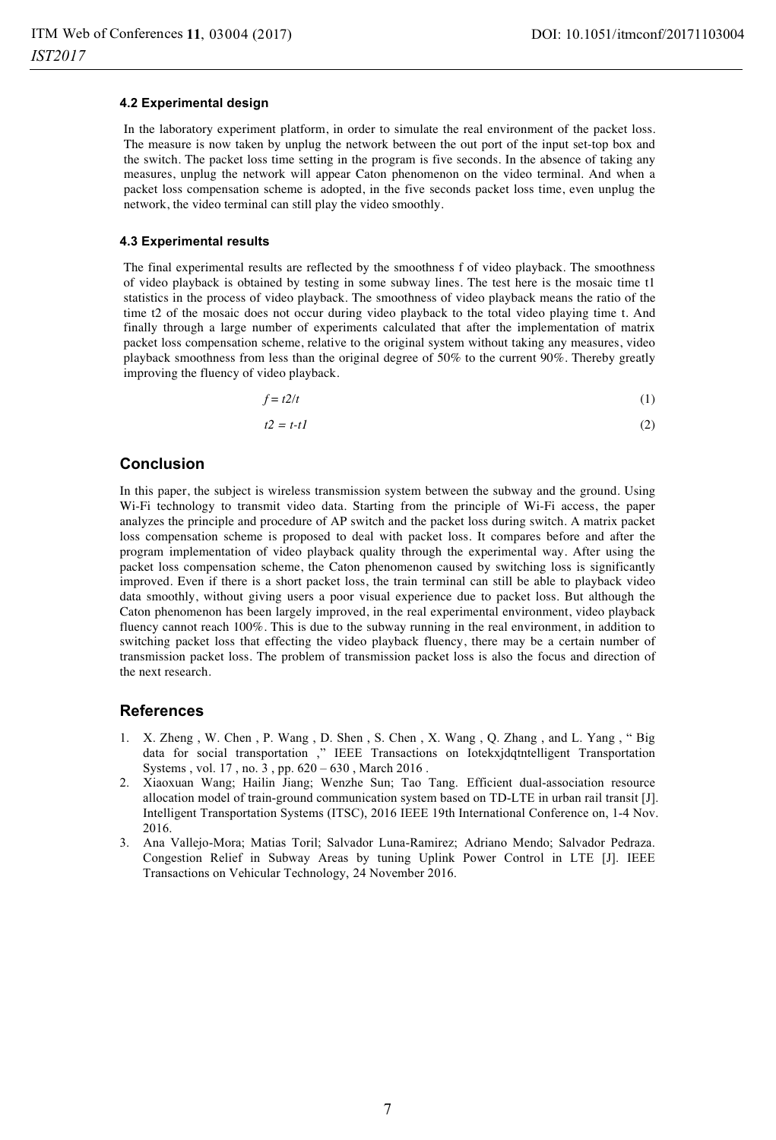#### **4.2 Experimental design**

In the laboratory experiment platform, in order to simulate the real environment of the packet loss. The measure is now taken by unplug the network between the out port of the input set-top box and the switch. The packet loss time setting in the program is five seconds. In the absence of taking any measures, unplug the network will appear Caton phenomenon on the video terminal. And when a packet loss compensation scheme is adopted, in the five seconds packet loss time, even unplug the network, the video terminal can still play the video smoothly.

#### **4.3 Experimental results**

The final experimental results are reflected by the smoothness f of video playback. The smoothness of video playback is obtained by testing in some subway lines. The test here is the mosaic time t1 statistics in the process of video playback. The smoothness of video playback means the ratio of the time t2 of the mosaic does not occur during video playback to the total video playing time t. And finally through a large number of experiments calculated that after the implementation of matrix packet loss compensation scheme, relative to the original system without taking any measures, video playback smoothness from less than the original degree of 50% to the current 90%. Thereby greatly improving the fluency of video playback.

$$
f = t2/t \tag{1}
$$

$$
t2 = t - t1 \tag{2}
$$

### **Conclusion**

In this paper, the subject is wireless transmission system between the subway and the ground. Using Wi-Fi technology to transmit video data. Starting from the principle of Wi-Fi access, the paper analyzes the principle and procedure of AP switch and the packet loss during switch. A matrix packet loss compensation scheme is proposed to deal with packet loss. It compares before and after the program implementation of video playback quality through the experimental way. After using the packet loss compensation scheme, the Caton phenomenon caused by switching loss is significantly improved. Even if there is a short packet loss, the train terminal can still be able to playback video data smoothly, without giving users a poor visual experience due to packet loss. But although the Caton phenomenon has been largely improved, in the real experimental environment, video playback fluency cannot reach 100%. This is due to the subway running in the real environment, in addition to switching packet loss that effecting the video playback fluency, there may be a certain number of transmission packet loss. The problem of transmission packet loss is also the focus and direction of the next research.

### **References**

- 1. X. Zheng , W. Chen , P. Wang , D. Shen , S. Chen , X. Wang , Q. Zhang , and L. Yang , " Big data for social transportation ," IEEE Transactions on Iotekxjdqtntelligent Transportation Systems , vol. 17 , no. 3 , pp. 620 – 630 , March 2016 .
- 2. Xiaoxuan Wang; Hailin Jiang; Wenzhe Sun; Tao Tang. Efficient dual-association resource allocation model of train-ground communication system based on TD-LTE in urban rail transit [J]. Intelligent Transportation Systems (ITSC), 2016 IEEE 19th International Conference on, 1-4 Nov. 2016.
- 3. Ana Vallejo-Mora; Matias Toril; Salvador Luna-Ramirez; Adriano Mendo; Salvador Pedraza. Congestion Relief in Subway Areas by tuning Uplink Power Control in LTE [J]. IEEE Transactions on Vehicular Technology, 24 November 2016.